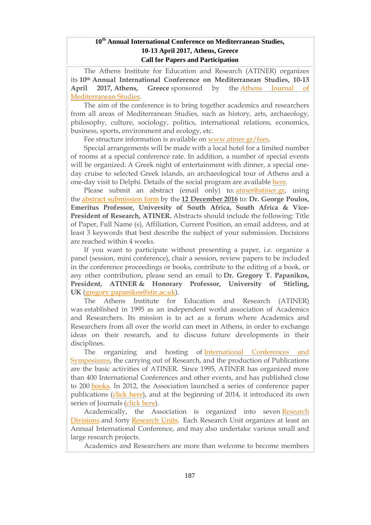## **10th Annual International Conference on Mediterranean Studies, 10-13 April 2017, Athens, Greece Call for Papers and Participation**

The Athens Institute for Education and Research (ATINER) organizes its **10th Annual International Conference on Mediterranean Studies, 10-13 April 2017, Athens, Greece** sponsored by the Athens [Journal](http://www.athensjournals.gr/ajms) of [Mediterranean](http://www.athensjournals.gr/ajms) Studies.

The aim of the conference is to bring together academics and researchers from all areas of Mediterranean Studies, such as history, arts, archaeology, philosophy, culture, sociology, politics, international relations, economics, business, sports, environment and ecology, etc.

Fee structure information is available on [www.atiner.gr/fees.](http://www.atiner.gr/fees)

Special arrangements will be made with a local hotel for a limited number of rooms at a special conference rate. In addition, a number of special events will be organized: A Greek night of entertainment with dinner, a special oneday cruise to selected Greek islands, an archaeological tour of Athens and a one-day visit to Delphi. Details of the social program are available [here.](http://www.atiner.gr/social-program)

Please submit an abstract (email only) to: [atiner@atiner.gr,](mailto:atiner@atiner.gr) using the abstract [submission](http://www.atiner.gr/2017/FORM-MDT.doc) form by the **12 December 2016** to: **Dr. George Poulos, Emeritus Professor, University of South Africa, South Africa & Vice-President of Research, ATINER.** Abstracts should include the following: Title of Paper, Full Name (s), Affiliation, Current Position, an email address, and at least 3 keywords that best describe the subject of your submission. Decisions are reached within 4 weeks.

If you want to participate without presenting a paper, i.e. organize a panel (session, mini conference), chair a session, review papers to be included in the conference proceedings or books, contribute to the editing of a book, or any other contribution, please send an email to **Dr. Gregory T. Papanikos, President, ATINER & Honorary Professor, University of Stirling, UK** [\(gregory.papanikos@stir.ac.uk\)](mailto:gregory.papanikos@stir.ac.uk).

The Athens Institute for Education and Research (ATINER) was established in 1995 as an independent world association of Academics and Researchers. Its mission is to act as a forum where Academics and Researchers from all over the world can meet in Athens, in order to exchange ideas on their research, and to discuss future developments in their disciplines.

The organizing and hosting of [International](http://www.atiner.gr/Conferences.htm) Conferences and [Symposiums,](http://www.atiner.gr/Conferences.htm) the carrying out of Research, and the production of Publications are the basic activities of ATINER. Since 1995, ATINER has organized more than 400 International Conferences and other events, and has published close to 200 [books.](http://www.atiner.gr/Publications.htm) In 2012, the Association launched a series of conference paper publications [\(click](http://www.atiner.gr/papers.htm) here), and at the beginning of 2014, it introduced its own series of Journals [\(click](http://www.athensjournals.gr/) here).

Academically, the Association is organized into seven [Research](http://www.atiner.gr/RESEARCH-DIVISIONS.htm) [Divisions](http://www.atiner.gr/RESEARCH-DIVISIONS.htm) and forty [Research](http://www.atiner.gr/RESEARCH-DIVISIONS.htm) Units. Each Research Unit organizes at least an Annual International Conference, and may also undertake various small and large research projects.

Academics and Researchers are more than welcome to become members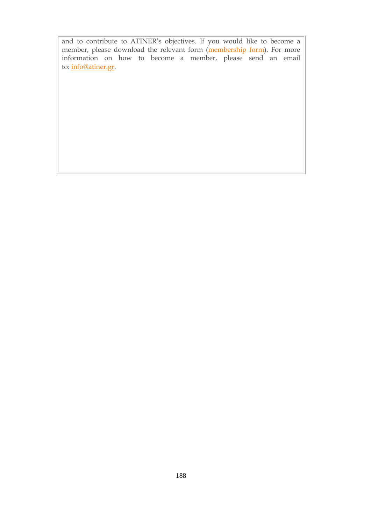and to contribute to ATINER's objectives. If you would like to become a member, please download the relevant form [\(membership](http://www.atiner.gr/docs/MEMBER_FORM.doc) form). For more information on how to become a member, please send an email to: [info@atiner.gr.](mailto:info@atiner.gr)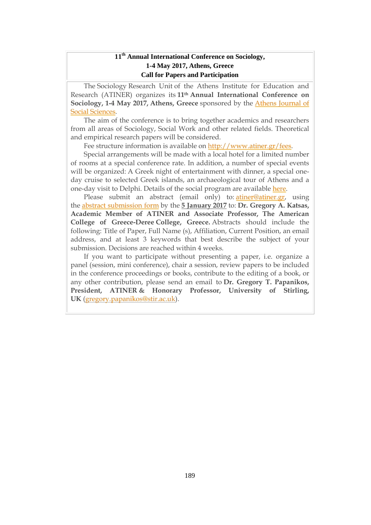# **11th Annual International Conference on Sociology, 1-4 May 2017, Athens, Greece Call for Papers and Participation**

The Sociology Research Unit of the Athens Institute for Education and Research (ATINER) organizes its **11th Annual International Conference on Sociology, 1-4 May 2017, Athens, Greece** sponsored by the Athens [Journal](http://www.athensjournals.gr/ajss) of Social [Sciences.](http://www.athensjournals.gr/ajss)

The aim of the conference is to bring together academics and researchers from all areas of Sociology, Social Work and other related fields. Theoretical and empirical research papers will be considered.

Fee structure information is available on [http://www.atiner.gr/fees.](http://www.atiner.gr/fees)

Special arrangements will be made with a local hotel for a limited number of rooms at a special conference rate. In addition, a number of special events will be organized: A Greek night of entertainment with dinner, a special oneday cruise to selected Greek islands, an archaeological tour of Athens and a one-day visit to Delphi. Details of the social program are available [here.](http://www.atiner.gr/social-program)

Please submit an abstract (email only) to: [atiner@atiner.gr,](mailto:atiner@atiner.gr) using the abstract [submission](http://www.atiner.gr/2017/FORM-SOC.doc) form by the **5 January 2017** to: **Dr. Gregory A. Katsas, Academic Member of ATINER and Associate Professor, The American College of Greece-Deree College, Greece.** Abstracts should include the following: Title of Paper, Full Name (s), Affiliation, Current Position, an email address, and at least 3 keywords that best describe the subject of your submission. Decisions are reached within 4 weeks.

If you want to participate without presenting a paper, i.e. organize a panel (session, mini conference), chair a session, review papers to be included in the conference proceedings or books, contribute to the editing of a book, or any other contribution, please send an email to **Dr. Gregory T. Papanikos, President, ATINER & Honorary Professor, University of Stirling, UK** [\(gregory.papanikos@stir.ac.uk\)](mailto:gregory.papanikos@stir.ac.uk).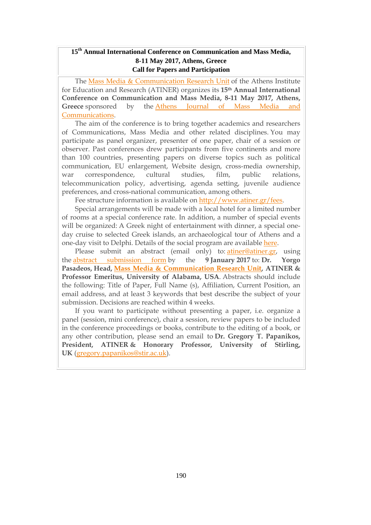# **15th Annual International Conference on Communication and Mass Media, 8-11 May 2017, Athens, Greece Call for Papers and Participation**

The Mass Media & [Communication](http://www.atiner.gr/docs/MEDIA_UNIT.htm) Research Unit of the Athens Institute for Education and Research (ATINER) organizes its **15th Annual International Conference on Communication and Mass Media, 8-11 May 2017, Athens, Greece** sponsored by the Athens [Journal](http://www.athensjournals.gr/ajmmc) of Mass Media and [Communications.](http://www.athensjournals.gr/ajmmc)

The aim of the conference is to bring together academics and researchers of Communications, Mass Media and other related disciplines. You may participate as panel organizer, presenter of one paper, chair of a session or observer. Past conferences drew participants from five continents and more than 100 countries, presenting papers on diverse topics such as political communication, EU enlargement, Website design, cross-media ownership, war correspondence, cultural studies, film, public relations, telecommunication policy, advertising, agenda setting, juvenile audience preferences, and cross-national communication, among others.

Fee structure information is available on [http://www.atiner.gr/fees.](http://www.atiner.gr/fees)

Special arrangements will be made with a local hotel for a limited number of rooms at a special conference rate. In addition, a number of special events will be organized: A Greek night of entertainment with dinner, a special oneday cruise to selected Greek islands, an archaeological tour of Athens and a one-day visit to Delphi. Details of the social program are available [here.](http://www.atiner.gr/social-program)

Please submit an abstract (email only) to: [atiner@atiner.gr,](mailto:atiner@atiner.gr) using the abstract [submission](http://www.atiner.gr/2016/FORM-MED.doc) form by the **9 January 2017** to: **Dr. Yorgo Pasadeos, Head, Mass Media & [Communication](http://www.atiner.gr/docs/MEDIA_UNIT.htm) Research Unit, ATINER & Professor Emeritus, University of Alabama, USA**. Abstracts should include the following: Title of Paper, Full Name (s), Affiliation, Current Position, an email address, and at least 3 keywords that best describe the subject of your submission. Decisions are reached within 4 weeks.

If you want to participate without presenting a paper, i.e. organize a panel (session, mini conference), chair a session, review papers to be included in the conference proceedings or books, contribute to the editing of a book, or any other contribution, please send an email to **Dr. Gregory T. Papanikos, President, ATINER & Honorary Professor, University of Stirling, UK** [\(gregory.papanikos@stir.ac.uk\)](mailto:gregory.papanikos@stir.ac.uk).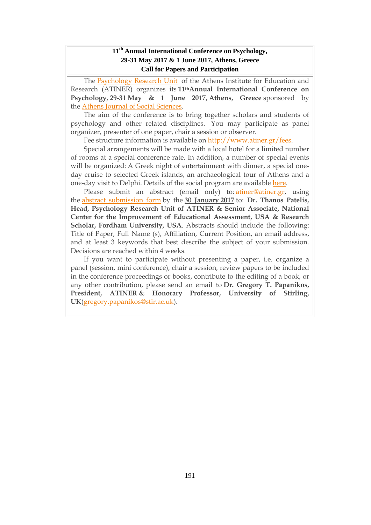# **11 th Annual International Conference on Psychology, 29-31 May 2017 & 1 June 2017, Athens, Greece Call for Papers and Participation**

The [Psychology](http://www.atiner.gr/docs/PSYCHOLOGY_UNIT.htm) Research Unit of the Athens Institute for Education and Research (ATINER) organizes its **11thAnnual International Conference on Psychology, 29-31 May & 1 June 2017, Athens, Greece** sponsored by the Athens Journal of Social [Sciences.](http://www.athensjournals.gr/ajss)

The aim of the conference is to bring together scholars and students of psychology and other related disciplines. You may participate as panel organizer, presenter of one paper, chair a session or observer.

Fee structure information is available on [http://www.atiner.gr/fees.](http://www.atiner.gr/fees)

Special arrangements will be made with a local hotel for a limited number of rooms at a special conference rate. In addition, a number of special events will be organized: A Greek night of entertainment with dinner, a special oneday cruise to selected Greek islands, an archaeological tour of Athens and a one-day visit to Delphi. Details of the social program are available [here.](http://www.atiner.gr/social-program)

Please submit an abstract (email only) to: [atiner@atiner.gr,](mailto:atiner@atiner.gr) using the abstract [submission](http://www.atiner.gr/2017/FORM-PSY.doc) form by the **30 January 2017** to: **Dr. Thanos Patelis, Head, Psychology Research Unit of ATINER & Senior Associate, National Center for the Improvement of Educational Assessment, USA & Research Scholar, Fordham University, USA**. Abstracts should include the following: Title of Paper, Full Name (s), Affiliation, Current Position, an email address, and at least 3 keywords that best describe the subject of your submission. Decisions are reached within 4 weeks.

If you want to participate without presenting a paper, i.e. organize a panel (session, mini conference), chair a session, review papers to be included in the conference proceedings or books, contribute to the editing of a book, or any other contribution, please send an email to **Dr. Gregory T. Papanikos, President, ATINER & Honorary Professor, University of Stirling, UK**[\(gregory.papanikos@stir.ac.uk\)](mailto:gregory.papanikos@stir.ac.uk).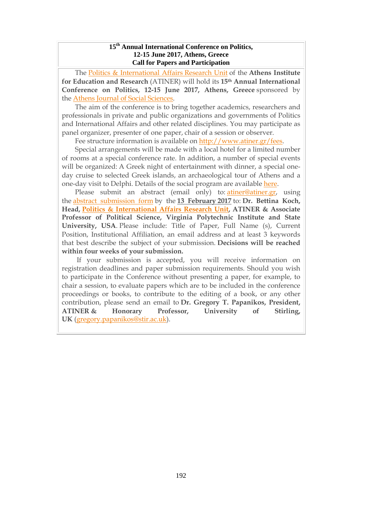#### **15 th Annual International Conference on Politics, 12-15 June 2017, Athens, Greece Call for Papers and Participation**

The Politics & [International](http://www.atiner.gr/docs/POLITICS_UNIT.htm) Affairs Research Unit of the **Athens Institute for Education and Research** (ATINER) will hold its **15th Annual International Conference on Politics, 12-15 June 2017, Athens, Greece** sponsored by the Athens Journal of Social [Sciences.](http://www.athensjournals.gr/ajss)

The aim of the conference is to bring together academics, researchers and professionals in private and public organizations and governments of Politics and International Affairs and other related disciplines. You may participate as panel organizer, presenter of one paper, chair of a session or observer.

Fee structure information is available on [http://www.atiner.gr/fees.](http://www.atiner.gr/fees)

Special arrangements will be made with a local hotel for a limited number of rooms at a special conference rate. In addition, a number of special events will be organized: A Greek night of entertainment with dinner, a special oneday cruise to selected Greek islands, an archaeological tour of Athens and a one-day visit to Delphi. Details of the social program are available [here.](http://www.atiner.gr/social-program)

Please submit an abstract (email only) to: [atiner@atiner.gr,](mailto:atiner@atiner.gr) using the abstract [submission](http://www.atiner.gr/2017/FORM-POL.doc) form by the **13 February 2017** to: **Dr. Bettina Koch, Head, Politics & [International](http://www.atiner.gr/politics-unit) Affairs Research Unit, ATINER & Associate Professor of Political Science, Virginia Polytechnic Institute and State University, USA**. Please include: Title of Paper, Full Name (s), Current Position, Institutional Affiliation, an email address and at least 3 keywords that best describe the subject of your submission. **Decisions will be reached within four weeks of your submission.**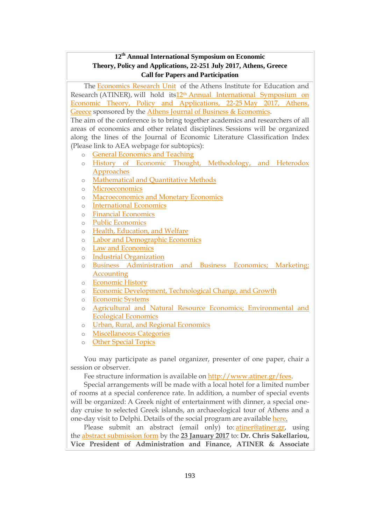# **12 th Annual International Symposium on Economic Theory, Policy and Applications, 22-251 July 2017, Athens, Greece Call for Papers and Participation**

The [Economics](http://www.atiner.gr/docs/ECONOMICS_UNIT.htm) Research Unit of the Athens Institute for Education and Research (ATINER), will hold its12th Annual [International](http://www.atiner.gr/economics) Symposium on Economic Theory, Policy and [Applications,](http://www.atiner.gr/economics) 22-25 May 2017, Athens, [Greece](http://www.atiner.gr/economics) sponsored by the Athens Journal of Business & [Economics.](http://www.athensjournals.gr/ajbe)

The aim of the conference is to bring together academics and researchers of all areas of economics and other related disciplines. Sessions will be organized along the lines of the Journal of Economic Literature Classification Index (Please link to AEA webpage for subtopics):

- o General [Economics](http://www.aeaweb.org/jel/jel_class_system.php#A#A) and Teaching
- o History of Economic Thought, [Methodology,](http://www.aeaweb.org/jel/jel_class_system.php#B#B) and Heterodox [Approaches](http://www.aeaweb.org/jel/jel_class_system.php#B#B)
- o [Mathematical](http://www.aeaweb.org/jel/jel_class_system.php#C#C) and Quantitative Methods
- o [Microeconomics](http://www.aeaweb.org/jel/jel_class_system.php#D#D)
- o [Macroeconomics](http://www.aeaweb.org/jel/jel_class_system.php#E#E) and Monetary Economics
- o [International](http://www.aeaweb.org/jel/jel_class_system.php#F#F) Economics
- o Financial [Economics](http://www.aeaweb.org/jel/jel_class_system.php#G#G)
- o Public [Economics](http://www.aeaweb.org/jel/jel_class_system.php#H#H)
- o Health, [Education,](http://www.aeaweb.org/jel/jel_class_system.php#I#I) and Welfare
- o Labor and [Demographic](http://www.aeaweb.org/jel/jel_class_system.php#J#J) Economics
- o Law and [Economics](http://www.aeaweb.org/jel/jel_class_system.php#K#K)
- o Industrial [Organization](http://www.aeaweb.org/jel/jel_class_system.php#L#L)
- Business [Administration](http://www.aeaweb.org/jel/jel_class_system.php#M#M) and Business Economics: Marketing: **[Accounting](http://www.aeaweb.org/jel/jel_class_system.php#M#M)**
- o [Economic](http://www.aeaweb.org/jel/jel_class_system.php#N#N) History
- o Economic [Development,](http://www.aeaweb.org/jel/jel_class_system.php#O#O) Technological Change, and Growth
- o [Economic](http://www.aeaweb.org/jel/jel_class_system.php#P#P) Systems
- o Agricultural and Natural Resource Economics; [Environmental](http://www.aeaweb.org/jel/jel_class_system.php#Q#Q) and Ecological [Economics](http://www.aeaweb.org/jel/jel_class_system.php#Q#Q)
- o Urban, Rural, and Regional [Economics](http://www.aeaweb.org/jel/jel_class_system.php#R#R)
- o [Miscellaneous](http://www.aeaweb.org/jel/jel_class_system.php#Y#Y) Categories
- o Other [Special](http://www.aeaweb.org/jel/jel_class_system.php#Z#Z) Topics

You may participate as panel organizer, presenter of one paper, chair a session or observer.

Fee structure information is available on [http://www.atiner.gr/fees.](http://www.atiner.gr/fees)

Special arrangements will be made with a local hotel for a limited number of rooms at a special conference rate. In addition, a number of special events will be organized: A Greek night of entertainment with dinner, a special oneday cruise to selected Greek islands, an archaeological tour of Athens and a one-day visit to Delphi. Details of the social program are available [here.](http://www.atiner.gr/social-program)

Please submit an abstract (email only) to: [atiner@atiner.gr,](mailto:atiner@atiner.gr) using the abstract [submission](http://www.atiner.gr/2017/FORM-ECO.doc) form by the **23 January 2017** to: **Dr. Chris Sakellariou, Vice President of Administration and Finance, ATINER & Associate**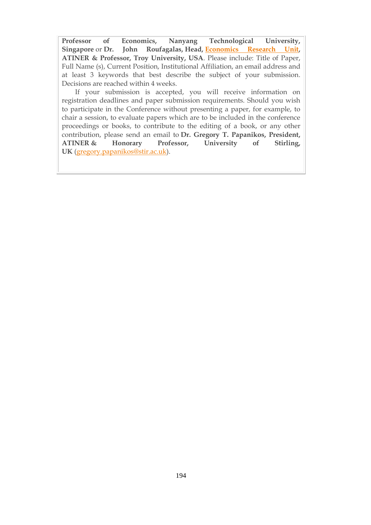**Professor of Economics, Nanyang Technological University, Singapore** or **Dr. John Roufagalas, Head, [Economics](http://www.atiner.gr/docs/ECONOMICS_UNIT.htm) Research Unit, ATINER & Professor, Troy University, USA**. Please include: Title of Paper, Full Name (s), Current Position, Institutional Affiliation, an email address and at least 3 keywords that best describe the subject of your submission. Decisions are reached within 4 weeks.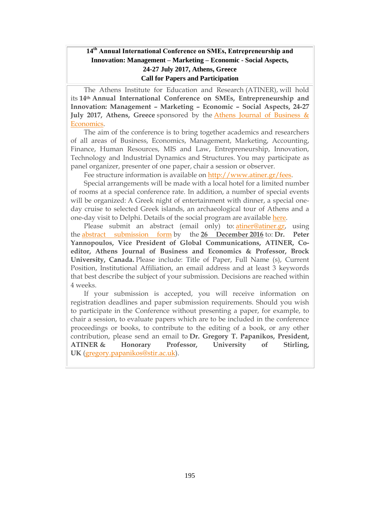# **14th Annual International Conference on SΜΕs, Entrepreneurship and Innovation: Management – Marketing – Economic - Social Aspects, 24-27 July 2017, Athens, Greece Call for Papers and Participation**

The Athens Institute for Education and Research (ATINER), will hold its **14th Annual International Conference on SΜΕs, Entrepreneurship and Innovation: Management – Marketing – Economic – Social Aspects, 24-27 July 2017, Athens, Greece** sponsored by the Athens Journal of [Business](http://www.athensjournals.gr/ajbe) & [Economics.](http://www.athensjournals.gr/ajbe)

The aim of the conference is to bring together academics and researchers of all areas of Business, Economics, Management, Marketing, Accounting, Finance, Human Resources, MIS and Law, Entrepreneurship, Innovation, Technology and Industrial Dynamics and Structures. You may participate as panel organizer, presenter of one paper, chair a session or observer.

Fee structure information is available on [http://www.atiner.gr/fees.](http://www.atiner.gr/fees)

Special arrangements will be made with a local hotel for a limited number of rooms at a special conference rate. In addition, a number of special events will be organized: A Greek night of entertainment with dinner, a special oneday cruise to selected Greek islands, an archaeological tour of Athens and a one-day visit to Delphi. Details of the social program are available [here.](http://www.atiner.gr/social-program)

Please submit an abstract (email only) to: [atiner@atiner.gr,](mailto:atiner@atiner.gr) using the abstract [submission](http://www.atiner.gr/2017/FORM-SME.doc) form by the **26 December 2016** to: **Dr. Peter Yannopoulos, Vice President of Global Communications, ATINER, Coeditor, Athens Journal of Business and Economics & Professor, Brock University, Canada.** Please include: Title of Paper, Full Name (s), Current Position, Institutional Affiliation, an email address and at least 3 keywords that best describe the subject of your submission. Decisions are reached within 4 weeks.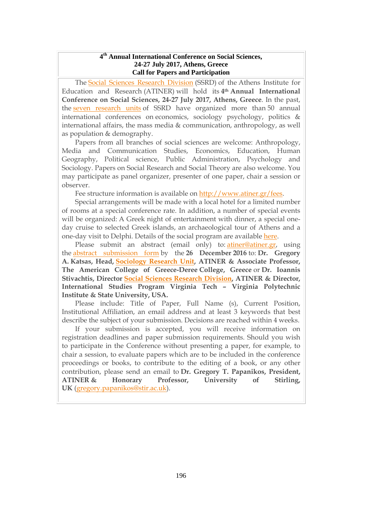#### **4 th Annual International Conference on Social Sciences, 24-27 July 2017, Athens, Greece Call for Papers and Participation**

The Social Sciences [Research](http://www.atiner.gr/SSRD.htm) Division (SSRD) of the Athens Institute for Education and Research (ATINER) will hold its **4th Annual International Conference on Social Sciences, 24-27 July 2017, Athens, Greece**. In the past, the seven [research](http://www.atiner.gr/SSRD.htm) units of SSRD have organized more than 50 annual international conferences on economics, sociology psychology, politics & international affairs, the mass media & communication, anthropology, as well as population & demography.

Papers from all branches of social sciences are welcome: Anthropology, Media and Communication Studies, Economics, Education, Human Geography, Political science, Public Administration, Psychology and Sociology. Papers on Social Research and Social Theory are also welcome. You may participate as panel organizer, presenter of one paper, chair a session or observer.

Fee structure information is available on [http://www.atiner.gr/fees.](http://www.atiner.gr/fees)

Special arrangements will be made with a local hotel for a limited number of rooms at a special conference rate. In addition, a number of special events will be organized: A Greek night of entertainment with dinner, a special oneday cruise to selected Greek islands, an archaeological tour of Athens and a one-day visit to Delphi. Details of the social program are available [here.](http://www.atiner.gr/social-program)

Please submit an abstract (email only) to: [atiner@atiner.gr,](mailto:atiner@atiner.gr) using the abstract [submission](http://www.atiner.gr/2017/FORM-SOS.doc) form by the **26 December 2016** to: **Dr. Gregory A. Katsas, Head, [Sociology](http://www.atiner.gr/docs/SOCIOLOGY_UNIT.htm) Research Unit, ATINER & Associate Professor, The American College of Greece-Deree College, Greece** or **Dr. Ioannis Stivachtis, Director Social Sciences Research [Division,](http://www.atiner.gr/SSRD.htm) ATINER & Director, International Studies Program Virginia Tech – Virginia Polytechnic Institute & State University, USA.**

Please include: Title of Paper, Full Name (s), Current Position, Institutional Affiliation, an email address and at least 3 keywords that best describe the subject of your submission. Decisions are reached within 4 weeks.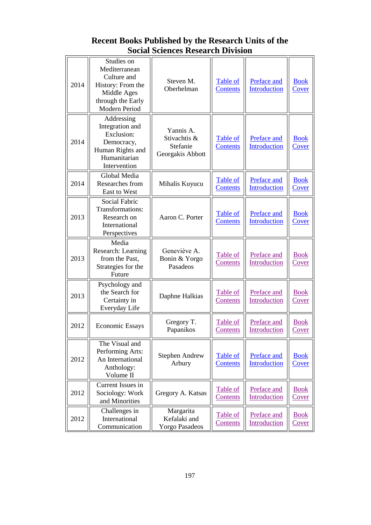# **Recent Books Published by the Research Units of the Social Sciences Research Division**

| 2014 | Studies on<br>Mediterranean<br>Culture and<br>History: From the<br>Middle Ages<br>through the Early<br>Modern Period | Steven M.<br>Oberhelman                                   | Table of<br><b>Contents</b> | Preface and<br><b>Introduction</b> | <b>Book</b><br>Cover        |
|------|----------------------------------------------------------------------------------------------------------------------|-----------------------------------------------------------|-----------------------------|------------------------------------|-----------------------------|
| 2014 | Addressing<br>Integration and<br>Exclusion:<br>Democracy,<br>Human Rights and<br>Humanitarian<br>Intervention        | Yannis A.<br>Stivachtis &<br>Stefanie<br>Georgakis Abbott | Table of<br><b>Contents</b> | Preface and<br>Introduction        | <b>Book</b><br>Cover        |
| 2014 | Global Media<br>Researches from<br>East to West                                                                      | Mihalis Kuyucu                                            | Table of<br><b>Contents</b> | Preface and<br>Introduction        | <b>Book</b><br>Cover        |
| 2013 | <b>Social Fabric</b><br>Transformations:<br>Research on<br>International<br>Perspectives                             | Aaron C. Porter                                           | Table of<br><b>Contents</b> | Preface and<br>Introduction        | <b>Book</b><br>Cover        |
| 2013 | Media<br>Research: Learning<br>from the Past,<br>Strategies for the<br>Future                                        | Geneviève A.<br>Bonin & Yorgo<br>Pasadeos                 | Table of<br>Contents        | Preface and<br>Introduction        | <b>Book</b><br>Cover        |
| 2013 | Psychology and<br>the Search for<br>Certainty in<br>Everyday Life                                                    | Daphne Halkias                                            | Table of<br>Contents        | Preface and<br>Introduction        | <b>Book</b><br>Cover        |
| 2012 | <b>Economic Essays</b>                                                                                               | Gregory T.<br>Papanikos                                   | Table of<br>Contents        | Preface and<br>Introduction        | <b>Book</b><br>Cover        |
| 2012 | The Visual and<br>Performing Arts:<br>An International<br>Anthology:<br>Volume II                                    | <b>Stephen Andrew</b><br>Arbury                           | Table of<br><b>Contents</b> | Preface and<br>Introduction        | <b>Book</b><br><b>Cover</b> |
| 2012 | Current Issues in<br>Sociology: Work<br>and Minorities                                                               | Gregory A. Katsas                                         | Table of<br>Contents        | Preface and<br>Introduction        | <b>Book</b><br>Cover        |
| 2012 | Challenges in<br>International<br>Communication                                                                      | Margarita<br>Kefalaki and<br><b>Yorgo Pasadeos</b>        | Table of<br>Contents        | Preface and<br>Introduction        | <b>Book</b><br>Cover        |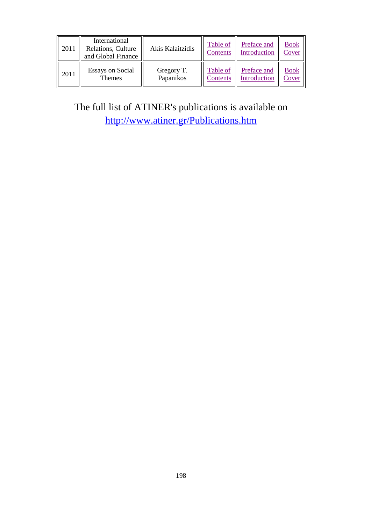| 2011 | International<br>Relations, Culture<br>and Global Finance | Akis Kalaitzidis | Table of<br>Contents | Preface and<br>Introduction | <b>Book</b><br>Cover |
|------|-----------------------------------------------------------|------------------|----------------------|-----------------------------|----------------------|
| 2011 | <b>Essays on Social</b>                                   | Gregory T.       | Table of             | Preface and                 | <b>Book</b>          |
|      | <b>Themes</b>                                             | Papanikos        | Contents             | Introduction                | Cover                |

The full list of ATINER's publications is available on <http://www.atiner.gr/Publications.htm>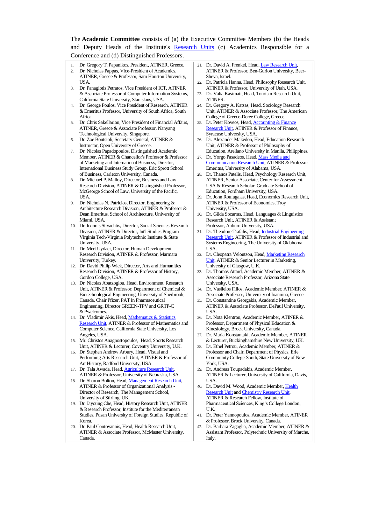The **Academic Committee** consists of (a) the Executive Committee Members (b) the Heads and Deputy Heads of the Institute's [Research Units](http://www.atiner.gr/RESEARCH-DIVISIONS.htm) (c) Academics Responsible for a Conference and (d) Distinguished Professors.

- 1. Dr. Gregory T. Papanikos, President, ATINER, Greece.
- 2. Dr. Nicholas Pappas, Vice-President of Academics, ATINER, Greece & Professor, Sam Houston University, USA.
- 3. Dr. Panagiotis Petratos, Vice President of ICT, ATINER & Associate Professor of Computer Information Systems, California State University, Stanislaus, USA.
- 4. Dr. George Poulos, Vice President of Research, ATINER & Emeritus Professor, University of South Africa, South Africa.
- 5. Dr. Chris Sakellariou, Vice President of Financial Affairs, ATINER, Greece & Associate Professor, Nanyang Technological University, Singapore.
- 6. Dr. Zoe Boutsioli, Secretary General, ATINER & Instructor, Open University of Greece.

7. Dr. Nicolas Papadopoulos, Distinguished Academic Member, ATINER & Chancellor's Professor & Professor of Marketing and International Business, Director, International Business Study Group, Eric Sprott School of Business, Carleton University, Canada.

- 8. Dr. Michael P. Malloy, Director, Business and Law Research Division, ATINER & Distinguished Professor, McGeorge School of Law, University of the Pacific, **I**ISA.
- 9. Dr. Nicholas N. Patricios, Director, Engineering & Architecture Research Division, ATINER & Professor & Dean Emeritus, School of Architecture, University of Miami, USA.
- 10. Dr. Ioannis Stivachtis, Director, Social Sciences Research Division, ATINER & Director, Int'l Studies Program Virginia Tech-Virginia Polytechnic Institute & State University, USA.
- 11. Dr. Mert Uydaci, Director, Human Development Research Division, ATINER & Professor, Marmara University, Turkey.
- 12. Dr. David Philip Wick, Director, Arts and Humanities Research Division, ATINER & Professor of History, Gordon College, USA.
- 13. Dr. Nicolas Abatzoglou, Head, Environment Research Unit, ATINER & Professor, Department of Chemical & Biotechnological Engineering, University of Sherbrook, Canada, Chair Pfizer, PAT in Pharmaceutical Engineering, Director GREEN-TPV and GRTP-C & Pwelcomes.
- 14. Dr. Vladimir Akis, Head, Mathematics & Statistics [Research Unit,](http://www.atiner.gr/docs/MATHEMATICS_UNIT.htm) ATINER & Professor of Mathematics and Computer Science, California State University, Los Angeles, USA.
- 15. Mr. Christos Anagnostopoulos, Head, Sports Research Unit, ATINER & Lecturer, Coventry University, U.K.
- 16. Dr. Stephen Andrew Arbury, Head, Visual and Performing Arts Research Unit, ATINER & Professor of Art History, Radford University, USA.
- 17. Dr. Tala Awada, Head[, Agriculture Research Unit,](http://www.atiner.gr/AGRICULTURE_UNIT.htm)  ATINER & Professor, University of Nebraska, USA.
- 18. Dr. Sharon Bolton, Head, Management Research Unit ATINER & Professor of Organizational Analysis - Director of Research, The Management School, University of Stirling, UK.
- 19. Dr. Jayoung Che, Head, History Research Unit, ATINER & Research Professor, Institute for the Mediterranean Studies, Pusan University of Foreign Studies, Republic of Korea.
- 20. Dr. Paul Contoyannis, Head, Health Research Unit, ATINER & Associate Professor, McMaster University, Canada.
- 21. Dr. David A. Frenkel, Head[, Law Research Unit,](http://www.atiner.gr/docs/LAW_UNIT.htm)  ATINER & Professor, Ben-Gurion University, Beer-Sheva, Israel.
- 22. Dr. Patricia Hanna, Head, Philosophy Research Unit, ATINER & Professor, University of Utah, USA.
- 23. Dr. Valia Kasimati, Head, Tourism Research Unit, ATINER.
- 24. Dr. Gregory A. Katsas, Head, Sociology Research Unit, ATINER & Associate Professor, The American College of Greece-Deree College, Greece.
- 25. Dr. Peter Koveos, Head[, Accounting & Finance](http://www.atiner.gr/docs/ACCOUNTING_UNIT.htm)  [Research Unit,](http://www.atiner.gr/docs/ACCOUNTING_UNIT.htm) ATINER & Professor of Finance, Syracuse University, USA.
- 26. Dr. Alexander Makedon, Head, Education Research Unit, ATINER & Professor of Philosophy of Education, Arellano University in Manila, Philippines.
- 27. Dr. Yorgo Pasadeos, Head[, Mass Media and](http://www.atiner.gr/docs/MEDIA_UNIT.htm)  [Communication Research Unit,](http://www.atiner.gr/docs/MEDIA_UNIT.htm) ATINER & Professor Emeritus, University of Alabama, USA.
- 28. Dr. Thanos Patelis, Head, Psychology Research Unit, ATINER, Senior Associate, Center for Assessment, USA & Research Scholar, Graduate School of Education, Fordham University, USA.
- 29. Dr. John Roufagalas, Head, Economics Research Unit, ATINER & Professor of Economics, Troy University, USA.
- 30. Dr. Gilda Socarras, Head, Languages & Linguistics Research Unit, ATINER & Assistant Professor, Auburn University, USA.
- 31. Dr. Theodore Trafalis, Head[, Industrial Engineering](http://www.atiner.gr/INDUSTRIAL-UNIT.htm)  [Research Unit,](http://www.atiner.gr/INDUSTRIAL-UNIT.htm) ATINER & Professor of Industrial and Systems Engineering, The University of Oklahoma, USA.
- 32. Dr. Cleopatra Veloutsou, Head[, Marketing Research](http://www.atiner.gr/docs/MARKETING_UNIT.htm)  [Unit,](http://www.atiner.gr/docs/MARKETING_UNIT.htm) ATINER & Senior Lecturer in Marketing, University of Glasgow, U.K.
- 33. Dr. Thomas Attard, Academic Member, ATINER & Associate Research Professor, Arizona State University, USA.
- 34. Dr. Vasileios Filios, Academic Member, ATINER & Associate Professor, University of Ioannina, Greece.
- 35. Dr. Constantine Georgakis, Academic Member, ATINER & Associate Professor, DePaul University, USA.
- 36. Dr. Nota Klentrou, Academic Member, ATINER & Professor, Department of Physical Education & Kinesiology, Brock University, Canada.
- 37. Dr. Maria Konstantaki, Academic Member, ATINER & Lecturer, Buckinghamshire New University, UK.
- 38. Dr. Ethel Petrou, Academic Member, ATINER & Professor and Chair, Department of Physics, Erie Community College-South, State University of New York, USA.
- 39. Dr. Andreas Toupadakis, Academic Member, ATINER & Lecturer, University of California, Davis, **I**ISA.
- 40. Dr. David M. Wood, Academic Member, [Health](http://www.atiner.gr/docs/HEALTH_UNIT.htm)  [Research Unit](http://www.atiner.gr/docs/HEALTH_UNIT.htm) and [Chemistry Research Unit,](http://www.atiner.gr/CHEMISTRY-UNIT.htm)  ATINER & Research Fellow, Institute of Pharmaceutical Sciences, King's College London, U.K.
- 41. Dr. Peter Yannopoulos, Academic Member, ATINER & Professor, Brock University, Canada.
- 42. Dr. Barbara Zagaglia, Academic Member, ATINER & Assistant Professor, Polytechnic University of Marche, Italy.